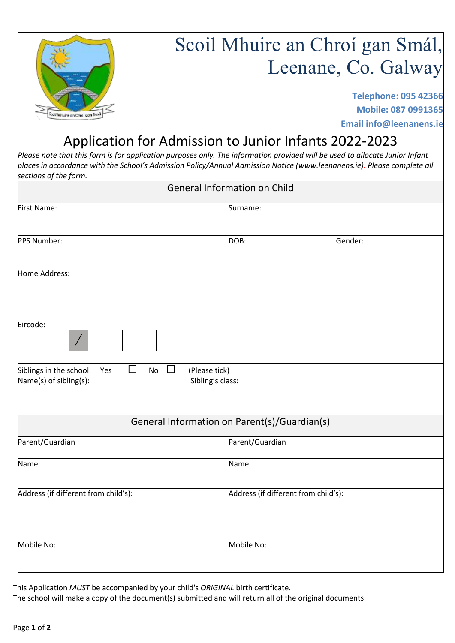

# Scoil Mhuire an Chroí gan Smál, Leenane, Co. Galway

**Telephone: 095 42366 Mobile: 087 0991365 Email info@leenanens.ie**

## Application for Admission to Junior Infants 2022-2023

*Please note that this form is for application purposes only. The information provided will be used to allocate Junior Infant places in accordance with the School's Admission Policy/Annual Admission Notice (www.leenanens.ie). Please complete all sections of the form.* 

| <b>General Information on Child</b>                                                                                     |                                              |         |  |  |
|-------------------------------------------------------------------------------------------------------------------------|----------------------------------------------|---------|--|--|
| First Name:                                                                                                             | Surname:                                     |         |  |  |
| PPS Number:                                                                                                             | DOB:                                         | Gender: |  |  |
| Home Address:                                                                                                           |                                              |         |  |  |
| Eircode:                                                                                                                |                                              |         |  |  |
| $\Box$<br>Siblings in the school:<br>No<br>$\Box$<br>(Please tick)<br>Yes<br>Name(s) of sibling(s):<br>Sibling's class: |                                              |         |  |  |
|                                                                                                                         | General Information on Parent(s)/Guardian(s) |         |  |  |
| Parent/Guardian                                                                                                         | Parent/Guardian                              |         |  |  |
| Name:                                                                                                                   | Name:                                        |         |  |  |
| Address (if different from child's):                                                                                    | Address (if different from child's):         |         |  |  |
| Mobile No:                                                                                                              | Mobile No:                                   |         |  |  |

This Application *MUST* be accompanied by your child's *ORIGINAL* birth certificate. The school will make a copy of the document(s) submitted and will return all of the original documents.